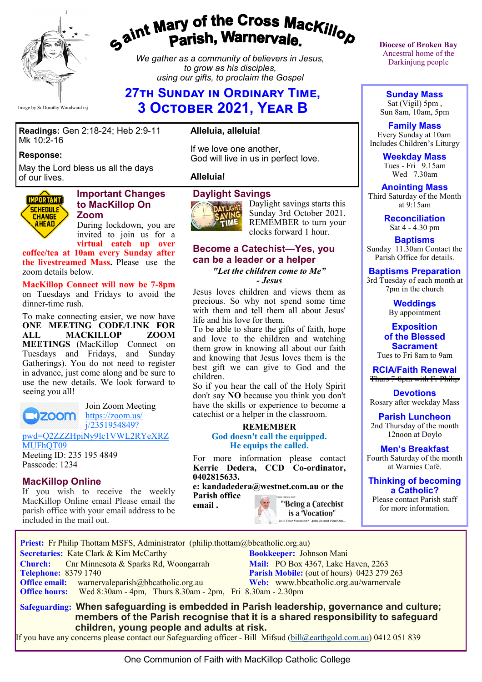

# gaint Mary of the Cross Mackillop<br>g<sup>aint</sup> Parish, Warnervale.

*We gather as a community of believers in Jesus, to grow as his disciples, using our gifts, to proclaim the Gospel*

# **27th Sunday in Ordinary Time, 3 October 2021, Year B**

#### **Readings:** Gen 2:18-24; Heb 2:9-11 Mk 10:2-16

#### **Response:**

May the Lord bless us all the days of our lives.



#### **Important Changes to MacKillop On Zoom**

During lockdown, you are invited to join us for a **virtual catch up over** 

**coffee/tea at 10am every Sunday after the livestreamed Mass.** Please use the zoom details below.

**MacKillop Connect will now be 7-8pm**  on Tuesdays and Fridays to avoid the dinner-time rush.

To make connecting easier, we now have **ONE MEETING CODE/LINK FOR<br>ALL MACKILLOP ZOOM MACKILLOP MEETINGS** (MacKillop Connect on Tuesdays and Fridays, and Sunday Gatherings). You do not need to register in advance, just come along and be sure to use the new details. We look forward to seeing you all!

**N200M** 

Join Zoom Meeting [https://zoom.us/](https://zoom.us/j/2351954849?pwd=Q2ZZZHpiNy9Ic1VWL2RYeXRZMUFhQT09) [j/2351954849?](https://zoom.us/j/2351954849?pwd=Q2ZZZHpiNy9Ic1VWL2RYeXRZMUFhQT09)

[pwd=Q2ZZZHpiNy9Ic1VWL2RYeXRZ](https://zoom.us/j/2351954849?pwd=Q2ZZZHpiNy9Ic1VWL2RYeXRZMUFhQT09) [MUFhQT09](https://zoom.us/j/2351954849?pwd=Q2ZZZHpiNy9Ic1VWL2RYeXRZMUFhQT09)

Meeting ID: 235 195 4849 Passcode: 1234

#### **MacKillop Online**

If you wish to receive the weekly MacKillop Online email Please email the parish office with your email address to be included in the mail out.

#### **Alleluia, alleluia!**

If we love one another, God will live in us in perfect love.

#### **Alleluia!**

#### **Daylight Savings**



Daylight savings starts this Sunday 3rd October 2021. REMEMBER to turn your clocks forward 1 hour.

### **Become a Catechist—Yes, you can be a leader or a helper**

*"Let the children come to Me" - Jesus*

Jesus loves children and views them as precious. So why not spend some time with them and tell them all about Jesus' life and his love for them.

To be able to share the gifts of faith, hope and love to the children and watching them grow in knowing all about our faith and knowing that Jesus loves them is the best gift we can give to God and the children.

So if you hear the call of the Holy Spirit don't say **NO** because you think you don't have the skills or experience to become a catechist or a helper in the classroom.

#### **REMEMBER**

**God doesn't call the equipped. He equips the called.**

For more information please contact **Kerrie Dedera, CCD Co-ordinator, 0402815633.**

**e: kandadedera@westnet.com.au or the Parish office email .**

"Being a Catechist is a Vocation" Is it Your Vocation? Join Us and Find Out... **Diocese of Broken Bay**  Ancestral home of the Darkinjung people

**Sunday Mass** Sat (Vigil) 5pm , Sun 8am, 10am, 5pm

**Family Mass**  Every Sunday at 10am Includes Children's Liturgy

> **Weekday Mass** Tues - Fri 9.15am Wed 7.30am

**Anointing Mass** Third Saturday of the Month at 9:15am

> **Reconciliation** Sat 4 - 4.30 pm

**Baptisms** Sunday 11.30am Contact the Parish Office for details.

#### **Baptisms Preparation**

3rd Tuesday of each month at 7pm in the church

> **Weddings**  By appointment

**Exposition of the Blessed Sacrament** Tues to Fri 8am to 9am

**RCIA/Faith Renewal**  Thurs 7-8pm with Fr Philip

**Devotions** Rosary after weekday Mass

**Parish Luncheon** 2nd Thursday of the month 12noon at Doylo

**Men's Breakfast** Fourth Saturday of the month at Warnies Café.

**Thinking of becoming a Catholic?**

Please contact Parish staff for more information.

 **Priest:** Fr Philip Thottam MSFS, Administrator (philip.thottam@bbcatholic.org.au) **Secretaries:** Kate Clark & Kim McCarthy **Bookkeeper:** Johnson Mani **Church:** Cnr Minnesota & Sparks Rd, Woongarrah **Mail: PO Box 4367, Lake Haven, 2263**<br> **Parish Mobile:** (out of hours) 0423 279 **Parish Mobile:** (out of hours) 0423 279 263 **Office email:** warnervaleparish@bbcatholic.org.au **Web:** [www.bbcatholic.org.au/warnervale](https://www.bbcatholic.org.au/warnervale)  **Office hours:** Wed 8:30am - 4pm, Thurs 8.30am - 2pm, Fri 8.30am - 2.30pm  **Safeguarding: When safeguarding is embedded in Parish leadership, governance and culture;** 

 **members of the Parish recognise that it is a shared responsibility to safeguard children, young people and adults at risk.**

If you have any concerns please contact our Safeguarding officer - Bill Mifsud ([bill@earthgold.com.au\)](mailto:bill@earthgold.com.au) 0412 051 839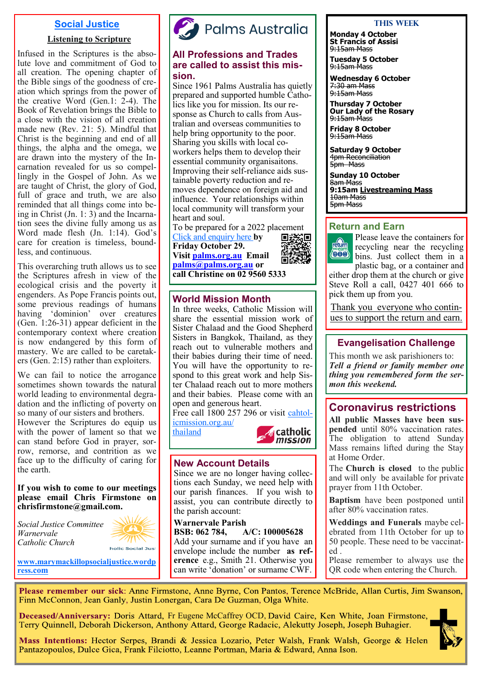### **Social Justice**

#### **Listening to Scripture**

Infused in the Scriptures is the absolute love and commitment of God to all creation. The opening chapter of the Bible sings of the goodness of creation which springs from the power of the creative Word (Gen.1: 2-4). The Book of Revelation brings the Bible to a close with the vision of all creation made new (Rev. 21: 5). Mindful that Christ is the beginning and end of all things, the alpha and the omega, we are drawn into the mystery of the Incarnation revealed for us so compellingly in the Gospel of John. As we are taught of Christ, the glory of God, full of grace and truth, we are also reminded that all things come into being in Christ (Jn. 1: 3) and the Incarnation sees the divine fully among us as Word made flesh (Jn. 1:14). God's care for creation is timeless, boundless, and continuous.

This overarching truth allows us to see the Scriptures afresh in view of the ecological crisis and the poverty it engenders. As Pope Francis points out, some previous readings of humans having 'dominion' over creatures (Gen. 1:26-31) appear deficient in the contemporary context where creation is now endangered by this form of mastery. We are called to be caretakers (Gen. 2:15) rather than exploiters.

We can fail to notice the arrogance sometimes shown towards the natural world leading to environmental degradation and the inflicting of poverty on so many of our sisters and brothers. However the Scriptures do equip us with the power of lament so that we can stand before God in prayer, sorrow, remorse, and contrition as we face up to the difficulty of caring for the earth.

**If you wish to come to our meetings please email Chris Firmstone on chrisfirmstone@gmail.com.**

*Social Justice Committee Warnervale Catholic Church* 



**[www.marymackillopsocialjustice.wordp](http://www.marymackillopsocialjustice.wordpress.com) ress[.com](http://www.marymackillopsocialjustice.wordpress.com)**



#### **All Professions and Trades are called to assist this mission.**

Since 1961 Palms Australia has quietly prepared and supported humble Catholics like you for mission. Its our response as Church to calls from Australian and overseas communities to help bring opportunity to the poor. Sharing you skills with local coworkers helps them to develop their essential community organisaitons. Improving their self-reliance aids sustainable poverty reduction and removes dependence on foreign aid and influence. Your relationships within local community will transform your heart and soul.

To be prepared for a 2022 placement<br>Click and enquiry here by

In three weeks, Catholic Mission will share the essential mission work of Sister Chalaad and the Good Shepherd Sisters in Bangkok, Thailand, as they reach out to vulnerable mothers and their babies during their time of need. You will have the opportunity to respond to this great work and help Sister Chalaad reach out to more mothers and their babies. Please come with an

[Click and enquiry here](https://palms.org.au/enquire-now/) **by Friday October 29. Visit [palms.org.au](http://www.palms.org.au/) Email [palms@palms.org.au](mailto:palms@palms.org.au) or call Christine on 02 9560 5333**

**World Mission Month**



**A** catholic mission

#### Please leave the containers for return recycling near the recycling **(BU)** bins. Just collect them in a plastic bag, or a container and

either drop them at the church or give Steve Roll a call, 0427 401 666 to pick them up from you.

Thank you everyone who continues to support the return and earn.

#### **Evangelisation Challenge**

This month we ask parishioners to: *Tell a friend or family member one thing you remembered form the sermon this weekend.*

## **Coronavirus restrictions**

**All public Masses have been suspended** until 80% vaccination rates. The obligation to attend Sunday Mass remains lifted during the Stay at Home Order.

The **Church is closed** to the public and will only be available for private prayer from 11th October.

**Baptism** have been postponed until after 80% vaccination rates.

**Weddings and Funerals** maybe celebrated from 11th October for up to 50 people. These need to be vaccinated .

Please remember to always use the QR code when entering the Church.

Please remember our sick: Anne Firmstone, Anne Byrne, Con Pantos, Terence McBride, Allan Curtis, Jim Swanson, Finn McConnon, Jean Ganly, Justin Lonergan, Cara De Guzman, Olga White.

**BSB: 062 784, A/C: 100005628** Add your surname and if you have an envelope include the number **as reference** e.g., Smith 21. Otherwise you can write 'donation' or surname CWF.

Deceased/Anniversary: Doris Attard, Fr Eugene McCaffrey OCD, David Caire, Ken White, Joan Firmstone, Terry Quinnell, Deborah Dickerson, Anthony Attard, George Radacic, Alekutty Joseph, Joseph Buhagier.

**New Account Details** 

open and generous heart.

[icmission.org.au/](https://www.catholicmission.org.au/mothers?&utm_term=parish)

[thailand](https://www.catholicmission.org.au/mothers?&utm_term=parish)

the parish account: **Warnervale Parish** 

Since we are no longer having collections each Sunday, we need help with our parish finances. If you wish to assist, you can contribute directly to

Free call 1800 257 296 or visit [cahtol-](https://www.catholicmission.org.au/mothers?&utm_term=parish)

Mass Intentions: Hector Serpes, Brandi & Jessica Lozario, Peter Walsh, Frank Walsh, George & Helen Pantazopoulos, Dulce Gica, Frank Filciotto, Leanne Portman, Maria & Edward, Anna Ison.



#### **This Week**

**Monday 4 October St Francis of Assisi** 9:15am Mass

**Tuesday 5 October** <del>9:15am Mass</del>

7:30 am Mass 9:15am Mass

9:15am Mass **Friday 8 October** 9:15am Mass

8am Mass

10am Mass 5pm Mass

**Wednesday 6 October**

**Thursday 7 October Our Lady of the Rosary**

**Saturday 9 October** 4pm Reconciliation 5pm Mass

**Sunday 10 October**

**Return and Earn** 

**9:15am Livestreaming Mass**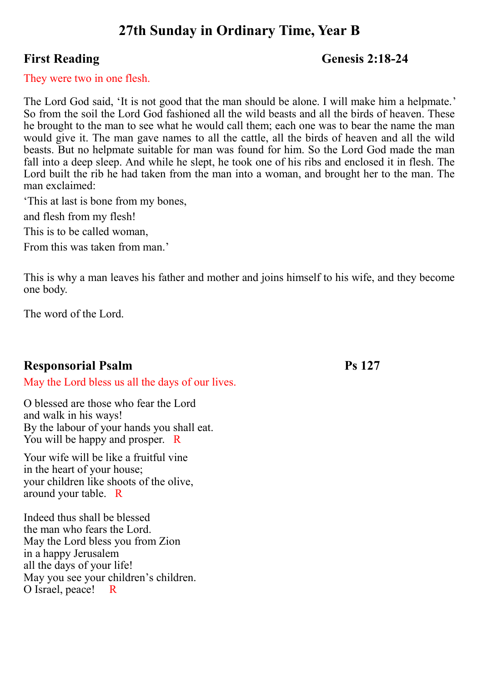# **27th Sunday in Ordinary Time, Year B**

## **First Reading Genesis 2:18-24**

#### They were two in one flesh.

The Lord God said, 'It is not good that the man should be alone. I will make him a helpmate.' So from the soil the Lord God fashioned all the wild beasts and all the birds of heaven. These he brought to the man to see what he would call them; each one was to bear the name the man would give it. The man gave names to all the cattle, all the birds of heaven and all the wild beasts. But no helpmate suitable for man was found for him. So the Lord God made the man fall into a deep sleep. And while he slept, he took one of his ribs and enclosed it in flesh. The Lord built the rib he had taken from the man into a woman, and brought her to the man. The man exclaimed:

'This at last is bone from my bones,

and flesh from my flesh!

This is to be called woman,

From this was taken from man.'

This is why a man leaves his father and mother and joins himself to his wife, and they become one body.

The word of the Lord.

# **Responsorial Psalm Ps 127**

May the Lord bless us all the days of our lives.

O blessed are those who fear the Lord and walk in his ways! By the labour of your hands you shall eat. You will be happy and prosper. R

Your wife will be like a fruitful vine in the heart of your house; your children like shoots of the olive, around your table. R

Indeed thus shall be blessed the man who fears the Lord. May the Lord bless you from Zion in a happy Jerusalem all the days of your life! May you see your children's children. O Israel, peace! R